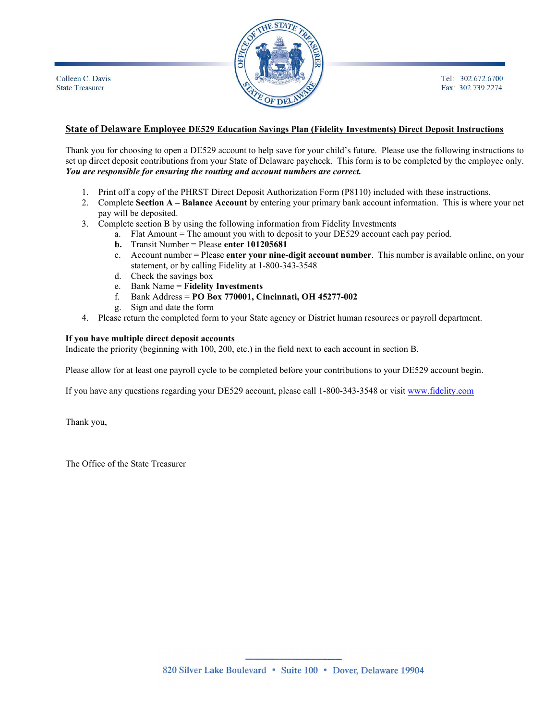

## **State of Delaware Employee DE529 Education Savings Plan (Fidelity Investments) Direct Deposit Instructions**

Thank you for choosing to open a DE529 account to help save for your child's future. Please use the following instructions to set up direct deposit contributions from your State of Delaware paycheck. This form is to be completed by the employee only. *You are responsible for ensuring the routing and account numbers are correct.*

- 1. Print off a copy of the PHRST Direct Deposit Authorization Form (P8110) included with these instructions.
- 2. Complete **Section A – Balance Account** by entering your primary bank account information. This is where your net pay will be deposited.
- 3. Complete section B by using the following information from Fidelity Investments
	- a. Flat Amount = The amount you with to deposit to your DE529 account each pay period.
		- **b.** Transit Number = Please **enter 101205681**
		- c. Account number = Please **enter your nine-digit account number**. This number is available online, on your statement, or by calling Fidelity at 1-800-343-3548
		- d. Check the savings box
		- e. Bank Name = **Fidelity Investments**
		- f. Bank Address = **PO Box 770001, Cincinnati, OH 45277-002**
		- g. Sign and date the form
- 4. Please return the completed form to your State agency or District human resources or payroll department.

## **If you have multiple direct deposit accounts**

Indicate the priority (beginning with 100, 200, etc.) in the field next to each account in section B.

Please allow for at least one payroll cycle to be completed before your contributions to your DE529 account begin.

If you have any questions regarding your DE529 account, please call 1-800-343-3548 or visit [www.fidelity.com](http://www.fidelity.com/)

Thank you,

The Office of the State Treasurer